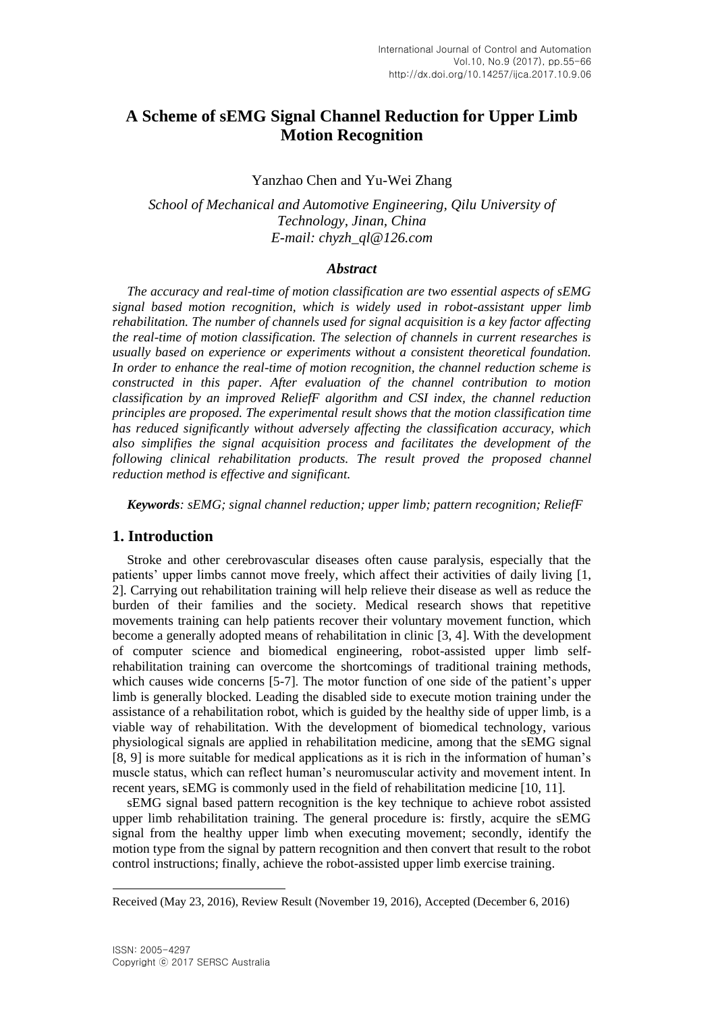# **A Scheme of sEMG Signal Channel Reduction for Upper Limb Motion Recognition**

Yanzhao Chen and Yu-Wei Zhang

*School of Mechanical and Automotive Engineering, Qilu University of Technology, Jinan, China E-mail: chyzh\_ql@126.com*

### *Abstract*

*The accuracy and real-time of motion classification are two essential aspects of sEMG signal based motion recognition, which is widely used in robot-assistant upper limb rehabilitation. The number of channels used for signal acquisition is a key factor affecting the real-time of motion classification. The selection of channels in current researches is usually based on experience or experiments without a consistent theoretical foundation. In order to enhance the real-time of motion recognition, the channel reduction scheme is constructed in this paper. After evaluation of the channel contribution to motion classification by an improved ReliefF algorithm and CSI index, the channel reduction principles are proposed. The experimental result shows that the motion classification time has reduced significantly without adversely affecting the classification accuracy, which also simplifies the signal acquisition process and facilitates the development of the following clinical rehabilitation products. The result proved the proposed channel reduction method is effective and significant.*

*Keywords: sEMG; signal channel reduction; upper limb; pattern recognition; ReliefF*

# **1. Introduction**

Stroke and other cerebrovascular diseases often cause paralysis, especially that the patients' upper limbs cannot move freely, which affect their activities of daily living [1, 2]. Carrying out rehabilitation training will help relieve their disease as well as reduce the burden of their families and the society. Medical research shows that repetitive movements training can help patients recover their voluntary movement function, which become a generally adopted means of rehabilitation in clinic [3, 4]. With the development of computer science and biomedical engineering, robot-assisted upper limb selfrehabilitation training can overcome the shortcomings of traditional training methods, which causes wide concerns [5-7]. The motor function of one side of the patient's upper limb is generally blocked. Leading the disabled side to execute motion training under the assistance of a rehabilitation robot, which is guided by the healthy side of upper limb, is a viable way of rehabilitation. With the development of biomedical technology, various physiological signals are applied in rehabilitation medicine, among that the sEMG signal [8, 9] is more suitable for medical applications as it is rich in the information of human's muscle status, which can reflect human's neuromuscular activity and movement intent. In recent years, sEMG is commonly used in the field of rehabilitation medicine [10, 11].

sEMG signal based pattern recognition is the key technique to achieve robot assisted upper limb rehabilitation training. The general procedure is: firstly, acquire the sEMG signal from the healthy upper limb when executing movement; secondly, identify the motion type from the signal by pattern recognition and then convert that result to the robot control instructions; finally, achieve the robot-assisted upper limb exercise training.

 $\overline{\phantom{a}}$ 

Received (May 23, 2016), Review Result (November 19, 2016), Accepted (December 6, 2016)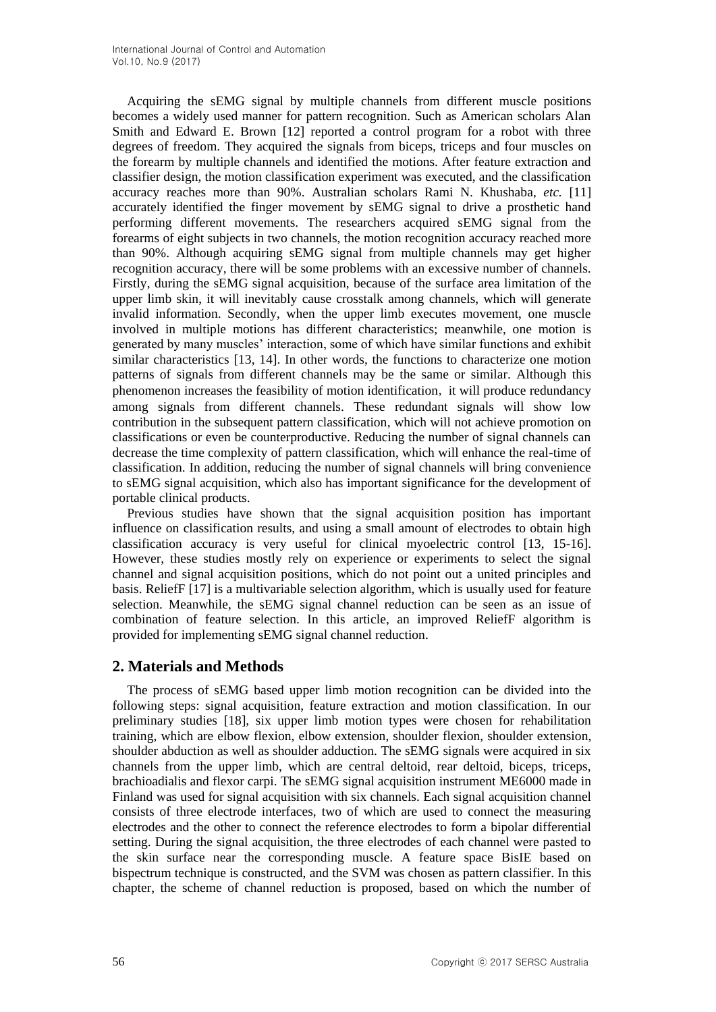Acquiring the sEMG signal by multiple channels from different muscle positions becomes a widely used manner for pattern recognition. Such as American scholars Alan Smith and Edward E. Brown [12] reported a control program for a robot with three degrees of freedom. They acquired the signals from biceps, triceps and four muscles on the forearm by multiple channels and identified the motions. After feature extraction and classifier design, the motion classification experiment was executed, and the classification accuracy reaches more than 90%. Australian scholars Rami N. Khushaba, *etc.* [11] accurately identified the finger movement by sEMG signal to drive a prosthetic hand performing different movements. The researchers acquired sEMG signal from the forearms of eight subjects in two channels, the motion recognition accuracy reached more than 90%. Although acquiring sEMG signal from multiple channels may get higher recognition accuracy, there will be some problems with an excessive number of channels. Firstly, during the sEMG signal acquisition, because of the surface area limitation of the upper limb skin, it will inevitably cause crosstalk among channels, which will generate invalid information. Secondly, when the upper limb executes movement, one muscle involved in multiple motions has different characteristics; meanwhile, one motion is generated by many muscles' interaction, some of which have similar functions and exhibit similar characteristics [13, 14]. In other words, the functions to characterize one motion patterns of signals from different channels may be the same or similar. Although this phenomenon increases the feasibility of motion identification, it will produce redundancy among signals from different channels. These redundant signals will show low contribution in the subsequent pattern classification, which will not achieve promotion on classifications or even be counterproductive. Reducing the number of signal channels can decrease the time complexity of pattern classification, which will enhance the real-time of classification. In addition, reducing the number of signal channels will bring convenience to sEMG signal acquisition, which also has important significance for the development of portable clinical products.

Previous studies have shown that the signal acquisition position has important influence on classification results, and using a small amount of electrodes to obtain high classification accuracy is very useful for clinical myoelectric control [13, 15-16]. However, these studies mostly rely on experience or experiments to select the signal channel and signal acquisition positions, which do not point out a united principles and basis. ReliefF [17] is a multivariable selection algorithm, which is usually used for feature selection. Meanwhile, the sEMG signal channel reduction can be seen as an issue of combination of feature selection. In this article, an improved ReliefF algorithm is provided for implementing sEMG signal channel reduction.

# **2. Materials and Methods**

The process of sEMG based upper limb motion recognition can be divided into the following steps: signal acquisition, feature extraction and motion classification. In our preliminary studies [18], six upper limb motion types were chosen for rehabilitation training, which are elbow flexion, elbow extension, shoulder flexion, shoulder extension, shoulder abduction as well as shoulder adduction. The sEMG signals were acquired in six channels from the upper limb, which are central deltoid, rear deltoid, biceps, triceps, brachioadialis and flexor carpi. The sEMG signal acquisition instrument ME6000 made in Finland was used for signal acquisition with six channels. Each signal acquisition channel consists of three electrode interfaces, two of which are used to connect the measuring electrodes and the other to connect the reference electrodes to form a bipolar differential setting. During the signal acquisition, the three electrodes of each channel were pasted to the skin surface near the corresponding muscle. A feature space BisIE based on bispectrum technique is constructed, and the SVM was chosen as pattern classifier. In this chapter, the scheme of channel reduction is proposed, based on which the number of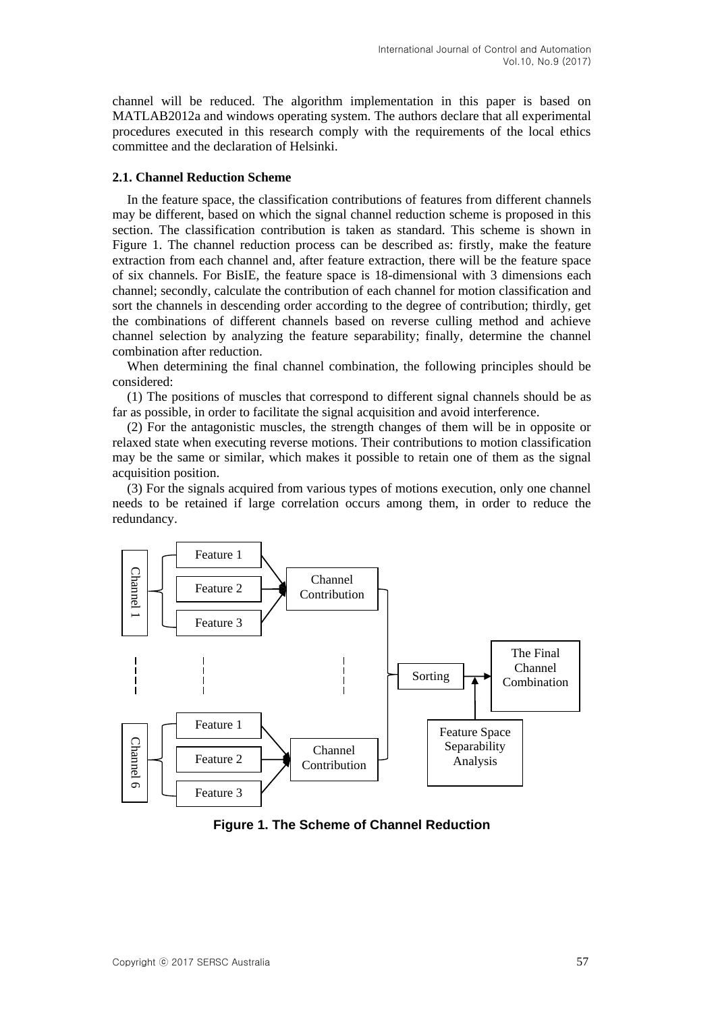channel will be reduced. The algorithm implementation in this paper is based on MATLAB2012a and windows operating system. The authors declare that all experimental procedures executed in this research comply with the requirements of the local ethics committee and the declaration of Helsinki.

### **2.1. Channel Reduction Scheme**

In the feature space, the classification contributions of features from different channels may be different, based on which the signal channel reduction scheme is proposed in this section. The classification contribution is taken as standard. This scheme is shown in Figure 1. The channel reduction process can be described as: firstly, make the feature extraction from each channel and, after feature extraction, there will be the feature space of six channels. For BisIE, the feature space is 18-dimensional with 3 dimensions each channel; secondly, calculate the contribution of each channel for motion classification and sort the channels in descending order according to the degree of contribution; thirdly, get the combinations of different channels based on reverse culling method and achieve channel selection by analyzing the feature separability; finally, determine the channel combination after reduction.

When determining the final channel combination, the following principles should be considered:

(1) The positions of muscles that correspond to different signal channels should be as far as possible, in order to facilitate the signal acquisition and avoid interference.

(2) For the antagonistic muscles, the strength changes of them will be in opposite or relaxed state when executing reverse motions. Their contributions to motion classification may be the same or similar, which makes it possible to retain one of them as the signal acquisition position.

(3) For the signals acquired from various types of motions execution, only one channel needs to be retained if large correlation occurs among them, in order to reduce the redundancy.



**Figure 1. The Scheme of Channel Reduction**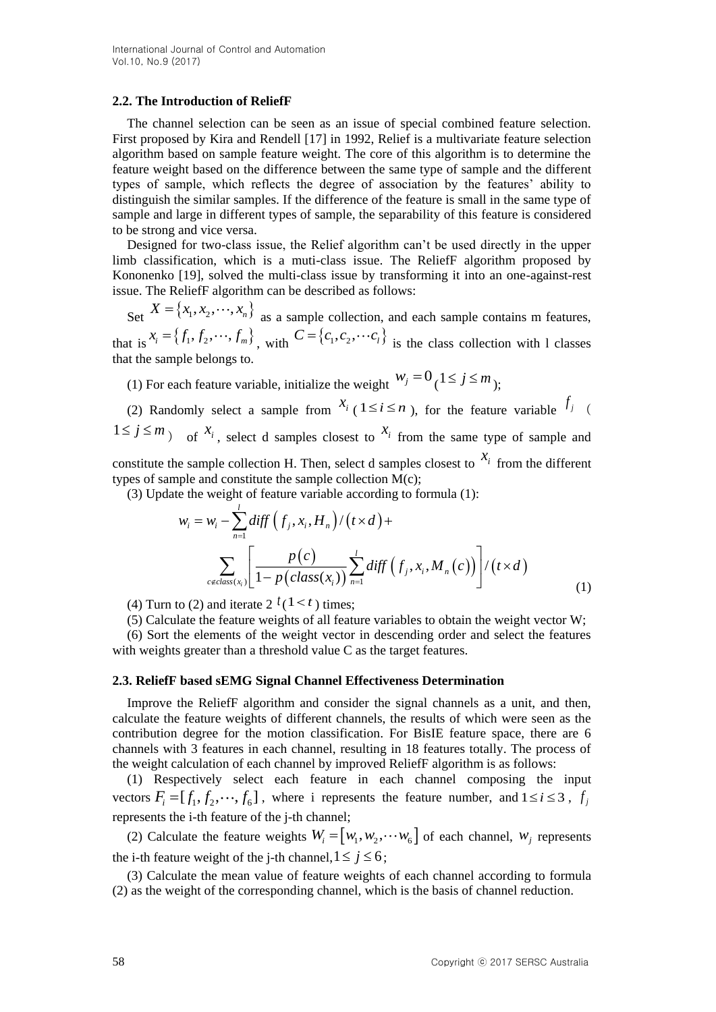### **2.2. The Introduction of ReliefF**

The channel selection can be seen as an issue of special combined feature selection. First proposed by Kira and Rendell [17] in 1992, Relief is a multivariate feature selection algorithm based on sample feature weight. The core of this algorithm is to determine the feature weight based on the difference between the same type of sample and the different types of sample, which reflects the degree of association by the features' ability to distinguish the similar samples. If the difference of the feature is small in the same type of sample and large in different types of sample, the separability of this feature is considered to be strong and vice versa.

Designed for two-class issue, the Relief algorithm can't be used directly in the upper limb classification, which is a muti-class issue. The ReliefF algorithm proposed by Kononenko [19], solved the multi-class issue by transforming it into an one-against-rest issue. The ReliefF algorithm can be described as follows:

Set  $X = \{x_1, x_2, \dots, x_n\}$  as a sample collection, and each sample contains m features, that is  $x_i = \{f_1, f_2, \dots, f_m\}$ , with  $C = \{c_1, c_2, \dots, c_l\}$  is the class collection with 1 classes that the sample belongs to.

(1) For each feature variable, initialize the weight  $w_j = 0$  ( $1 \le j \le m$ );

(2) Randomly select a sample from  $x_i$  ( $1 \le i \le n$ ), for the feature variable  $f_j$  (  $1 \le j \le m$  of  $x_i$ , select d samples closest to  $x_i$  from the same type of sample and constitute the sample collection H. Then, select d samples closest to  $x_i$  from the different

types of sample and constitute the sample collection M(c);

(3) Update the weight of feature variable according to formula (1):

$$
w_i = w_i - \sum_{n=1}^{\infty} diff \left( f_j, x_i, H_n \right) / \left( t \times d \right) +
$$
  

$$
\sum_{c \notin class(x_i)} \left[ \frac{p(c)}{1 - p(class(x_i))} \sum_{n=1}^{\infty} diff \left( f_j, x_i, M_n(c) \right) \right] / \left( t \times d \right)
$$
 (1)

(4) Turn to (2) and iterate  $2^{t}(1 \leq t)$  times;

(5) Calculate the feature weights of all feature variables to obtain the weight vector W;

(6) Sort the elements of the weight vector in descending order and select the features with weights greater than a threshold value C as the target features.

### **2.3. ReliefF based sEMG Signal Channel Effectiveness Determination**

Improve the ReliefF algorithm and consider the signal channels as a unit, and then, calculate the feature weights of different channels, the results of which were seen as the contribution degree for the motion classification. For BisIE feature space, there are 6 channels with 3 features in each channel, resulting in 18 features totally. The process of the weight calculation of each channel by improved ReliefF algorithm is as follows:

(1) Respectively select each feature in each channel composing the input vectors  $F_i = [f_1, f_2, \dots, f_6]$ , where i represents the feature number, and  $1 \le i \le 3$ ,  $f_j$ represents the i-th feature of the j-th channel;

(2) Calculate the feature weights  $W_i = [w_1, w_2, \cdots w_6]$  of each channel,  $w_j$  represents the i-th feature weight of the j-th channel,  $1 \le j \le 6$ ;

(3) Calculate the mean value of feature weights of each channel according to formula (2) as the weight of the corresponding channel, which is the basis of channel reduction.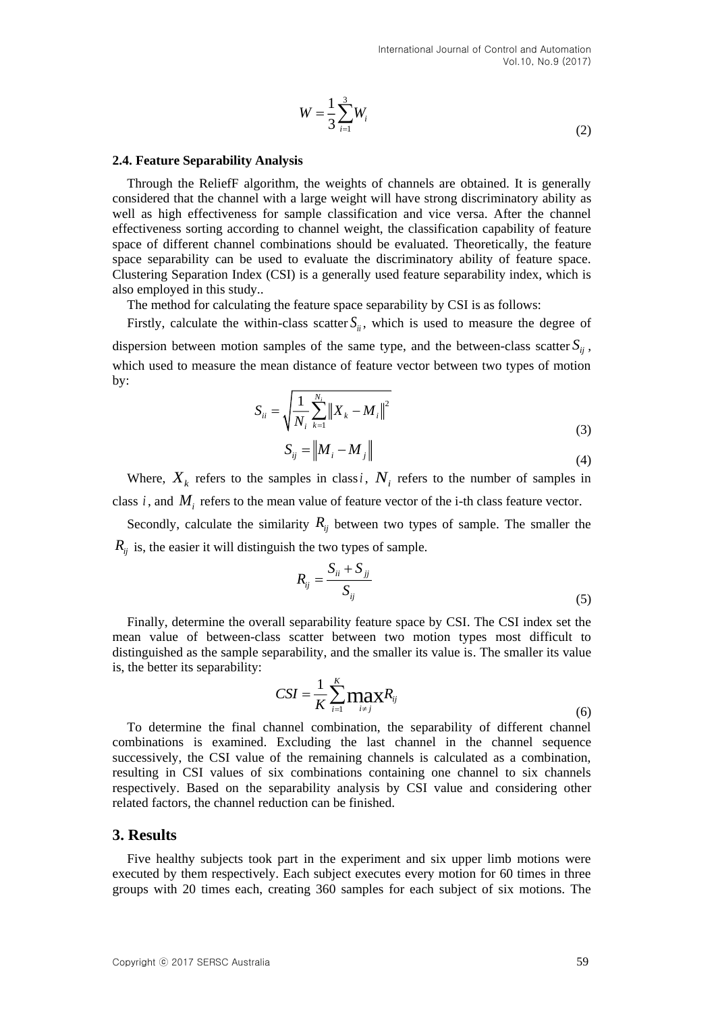$$
W = \frac{1}{3} \sum_{i=1}^{3} W_i
$$
 (2)

#### **2.4. Feature Separability Analysis**

Through the ReliefF algorithm, the weights of channels are obtained. It is generally considered that the channel with a large weight will have strong discriminatory ability as well as high effectiveness for sample classification and vice versa. After the channel effectiveness sorting according to channel weight, the classification capability of feature space of different channel combinations should be evaluated. Theoretically, the feature space separability can be used to evaluate the discriminatory ability of feature space. Clustering Separation Index (CSI) is a generally used feature separability index, which is also employed in this study..

The method for calculating the feature space separability by CSI is as follows:

Firstly, calculate the within-class scatter  $S_{ii}$ , which is used to measure the degree of dispersion between motion samples of the same type, and the between-class scatter  $S_{ij}$ , which used to measure the mean distance of feature vector between two types of motion by:

$$
S_{ii} = \sqrt{\frac{1}{N_i} \sum_{k=1}^{N_i} ||X_k - M_i||^2}
$$
  

$$
S_{ii} = ||M - M||
$$
 (3)

$$
S_{ij} = \|M_i - M_j\| \tag{4}
$$

Where,  $X_k$  refers to the samples in class *i*,  $N_i$  refers to the number of samples in class  $i$ , and  $M_i$  refers to the mean value of feature vector of the i-th class feature vector.

Secondly, calculate the similarity  $R_{ij}$  between two types of sample. The smaller the *Rij* is, the easier it will distinguish the two types of sample.

$$
R_{ij} = \frac{S_{ii} + S_{jj}}{S_{ij}}\tag{5}
$$

Finally, determine the overall separability feature space by CSI. The CSI index set the mean value of between-class scatter between two motion types most difficult to distinguished as the sample separability, and the smaller its value is. The smaller its value is, the better its separability:

$$
CSI = \frac{1}{K} \sum_{i=1}^{K} \max_{i \neq j} R_{ij}
$$
\n(6)

To determine the final channel combination, the separability of different channel combinations is examined. Excluding the last channel in the channel sequence successively, the CSI value of the remaining channels is calculated as a combination, resulting in CSI values of six combinations containing one channel to six channels respectively. Based on the separability analysis by CSI value and considering other related factors, the channel reduction can be finished.

#### **3. Results**

Five healthy subjects took part in the experiment and six upper limb motions were executed by them respectively. Each subject executes every motion for 60 times in three groups with 20 times each, creating 360 samples for each subject of six motions. The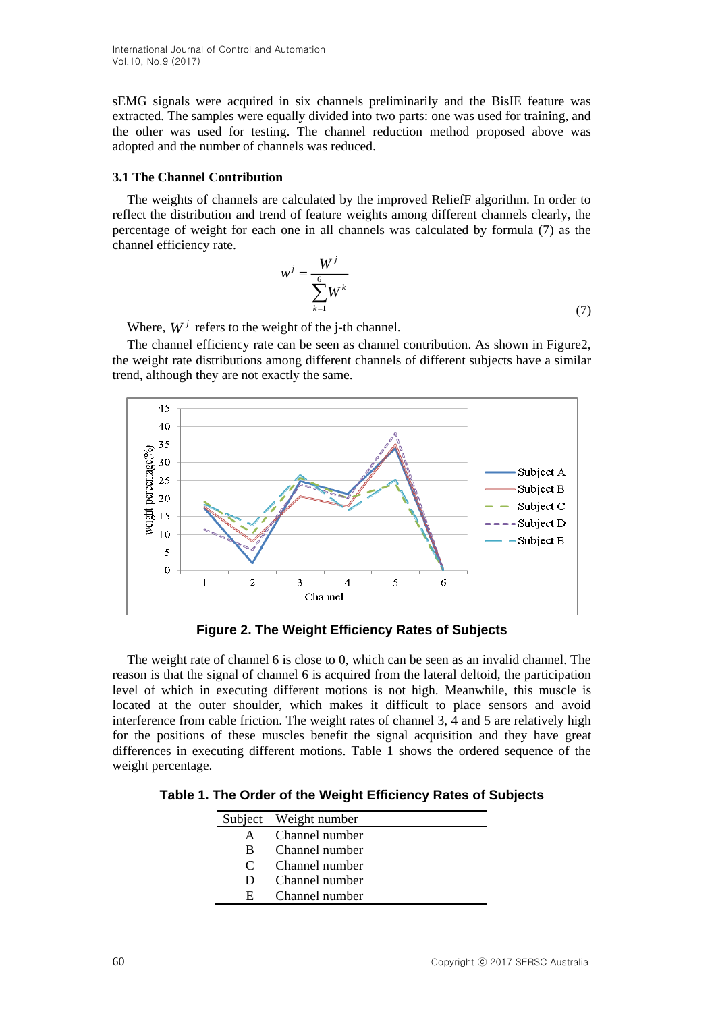International Journal of Control and Automation Vol.10, No.9 (2017)

sEMG signals were acquired in six channels preliminarily and the BisIE feature was extracted. The samples were equally divided into two parts: one was used for training, and the other was used for testing. The channel reduction method proposed above was adopted and the number of channels was reduced.

#### **3.1 The Channel Contribution**

The weights of channels are calculated by the improved ReliefF algorithm. In order to reflect the distribution and trend of feature weights among different channels clearly, the percentage of weight for each one in all channels was calculated by formula (7) as the channel efficiency rate.

$$
w^j = \frac{W^j}{\sum_{k=1}^6 W^k} \tag{7}
$$

Where,  $W^j$  refers to the weight of the j-th channel.

The channel efficiency rate can be seen as channel contribution. As shown in Figure2, the weight rate distributions among different channels of different subjects have a similar trend, although they are not exactly the same.



**Figure 2. The Weight Efficiency Rates of Subjects**

The weight rate of channel 6 is close to 0, which can be seen as an invalid channel. The reason is that the signal of channel 6 is acquired from the lateral deltoid, the participation level of which in executing different motions is not high. Meanwhile, this muscle is located at the outer shoulder, which makes it difficult to place sensors and avoid interference from cable friction. The weight rates of channel 3, 4 and 5 are relatively high for the positions of these muscles benefit the signal acquisition and they have great differences in executing different motions. Table 1 shows the ordered sequence of the weight percentage.

**Table 1. The Order of the Weight Efficiency Rates of Subjects**

|               | Subject Weight number |
|---------------|-----------------------|
| A             | Channel number        |
| B             | Channel number        |
| $\mathcal{C}$ | Channel number        |
| $\mathbf{D}$  | Channel number        |
| н             | Channel number        |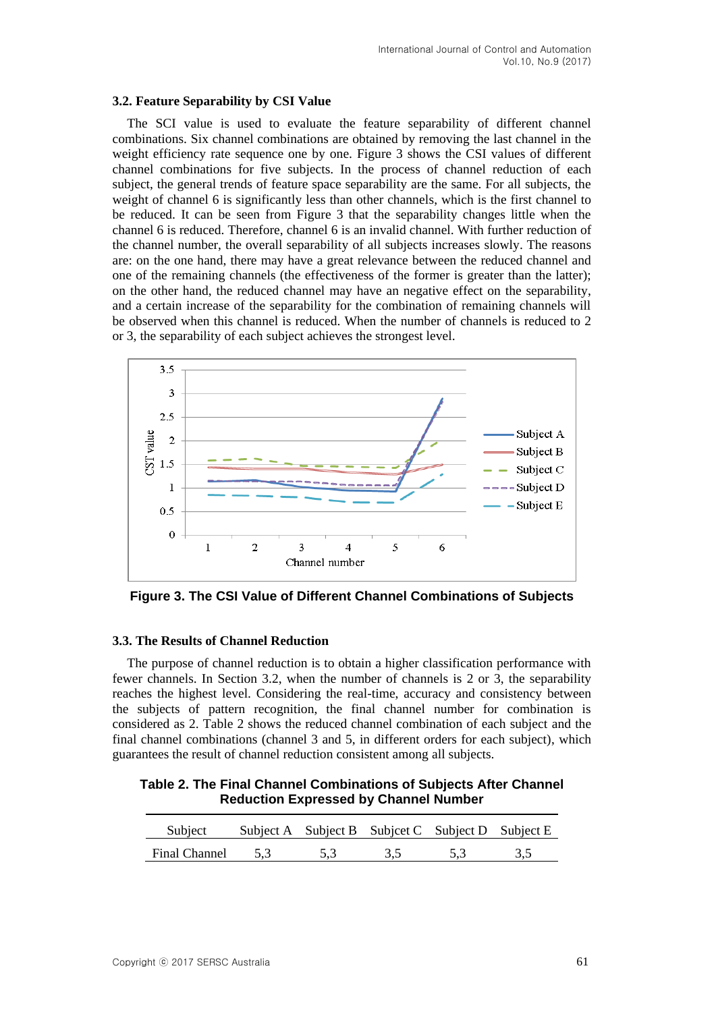### **3.2. Feature Separability by CSI Value**

The SCI value is used to evaluate the feature separability of different channel combinations. Six channel combinations are obtained by removing the last channel in the weight efficiency rate sequence one by one. Figure 3 shows the CSI values of different channel combinations for five subjects. In the process of channel reduction of each subject, the general trends of feature space separability are the same. For all subjects, the weight of channel 6 is significantly less than other channels, which is the first channel to be reduced. It can be seen from Figure 3 that the separability changes little when the channel 6 is reduced. Therefore, channel 6 is an invalid channel. With further reduction of the channel number, the overall separability of all subjects increases slowly. The reasons are: on the one hand, there may have a great relevance between the reduced channel and one of the remaining channels (the effectiveness of the former is greater than the latter); on the other hand, the reduced channel may have an negative effect on the separability, and a certain increase of the separability for the combination of remaining channels will be observed when this channel is reduced. When the number of channels is reduced to 2 or 3, the separability of each subject achieves the strongest level.



**Figure 3. The CSI Value of Different Channel Combinations of Subjects**

### **3.3. The Results of Channel Reduction**

The purpose of channel reduction is to obtain a higher classification performance with fewer channels. In Section 3.2, when the number of channels is 2 or 3, the separability reaches the highest level. Considering the real-time, accuracy and consistency between the subjects of pattern recognition, the final channel number for combination is considered as 2. Table 2 shows the reduced channel combination of each subject and the final channel combinations (channel 3 and 5, in different orders for each subject), which guarantees the result of channel reduction consistent among all subjects.

**Table 2. The Final Channel Combinations of Subjects After Channel Reduction Expressed by Channel Number**

| Subject       |     | Subject A Subject B Subject C Subject D Subject E |     |     |
|---------------|-----|---------------------------------------------------|-----|-----|
| Final Channel | 5.3 |                                                   | 53. | 3.5 |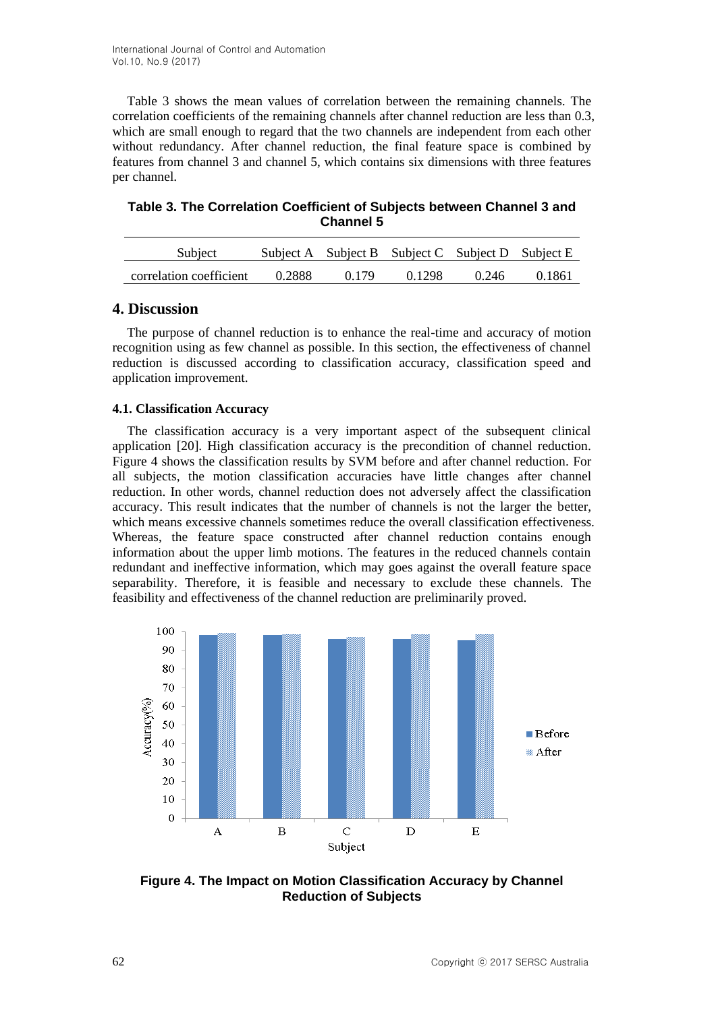Table 3 shows the mean values of correlation between the remaining channels. The correlation coefficients of the remaining channels after channel reduction are less than 0.3, which are small enough to regard that the two channels are independent from each other without redundancy. After channel reduction, the final feature space is combined by features from channel 3 and channel 5, which contains six dimensions with three features per channel.

**Table 3. The Correlation Coefficient of Subjects between Channel 3 and Channel 5**

| Subject                 |        |       | Subject A Subject B Subject C Subject D Subject E |       |        |
|-------------------------|--------|-------|---------------------------------------------------|-------|--------|
| correlation coefficient | 0.2888 | 0.179 | 0.1298                                            | 0.246 | 0.1861 |

# **4. Discussion**

The purpose of channel reduction is to enhance the real-time and accuracy of motion recognition using as few channel as possible. In this section, the effectiveness of channel reduction is discussed according to classification accuracy, classification speed and application improvement.

### **4.1. Classification Accuracy**

The classification accuracy is a very important aspect of the subsequent clinical application [20]. High classification accuracy is the precondition of channel reduction. Figure 4 shows the classification results by SVM before and after channel reduction. For all subjects, the motion classification accuracies have little changes after channel reduction. In other words, channel reduction does not adversely affect the classification accuracy. This result indicates that the number of channels is not the larger the better, which means excessive channels sometimes reduce the overall classification effectiveness. Whereas, the feature space constructed after channel reduction contains enough information about the upper limb motions. The features in the reduced channels contain redundant and ineffective information, which may goes against the overall feature space separability. Therefore, it is feasible and necessary to exclude these channels. The feasibility and effectiveness of the channel reduction are preliminarily proved.



**Figure 4. The Impact on Motion Classification Accuracy by Channel Reduction of Subjects**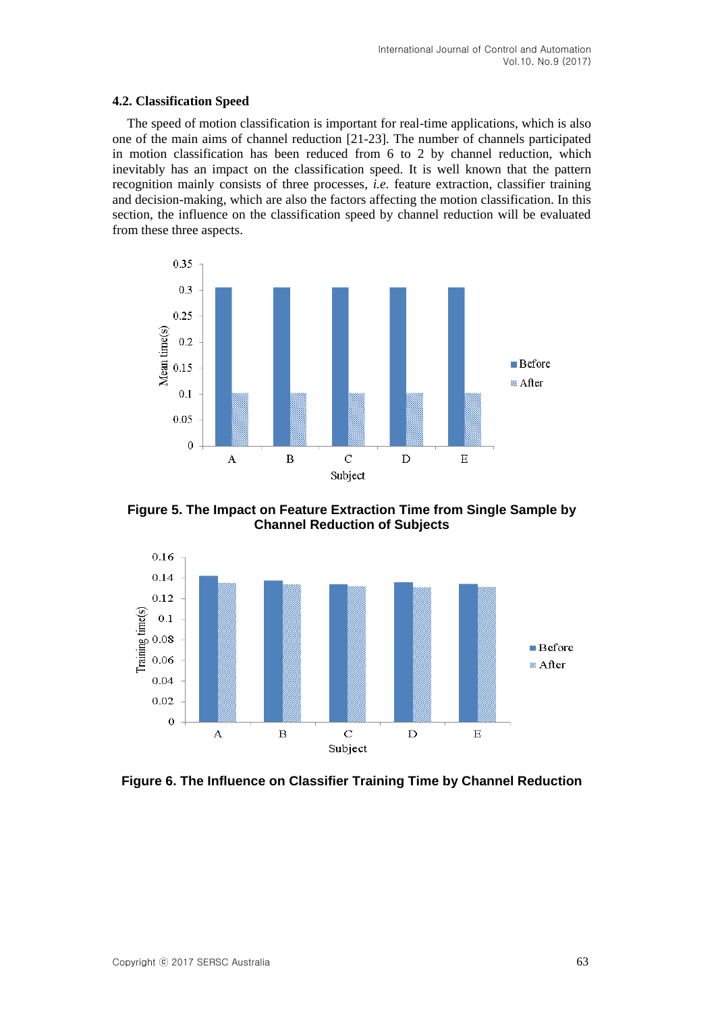### **4.2. Classification Speed**

The speed of motion classification is important for real-time applications, which is also one of the main aims of channel reduction [21-23]. The number of channels participated in motion classification has been reduced from 6 to 2 by channel reduction, which inevitably has an impact on the classification speed. It is well known that the pattern recognition mainly consists of three processes, *i.e.* feature extraction, classifier training and decision-making, which are also the factors affecting the motion classification. In this section, the influence on the classification speed by channel reduction will be evaluated from these three aspects.



**Figure 5. The Impact on Feature Extraction Time from Single Sample by Channel Reduction of Subjects**



**Figure 6. The Influence on Classifier Training Time by Channel Reduction**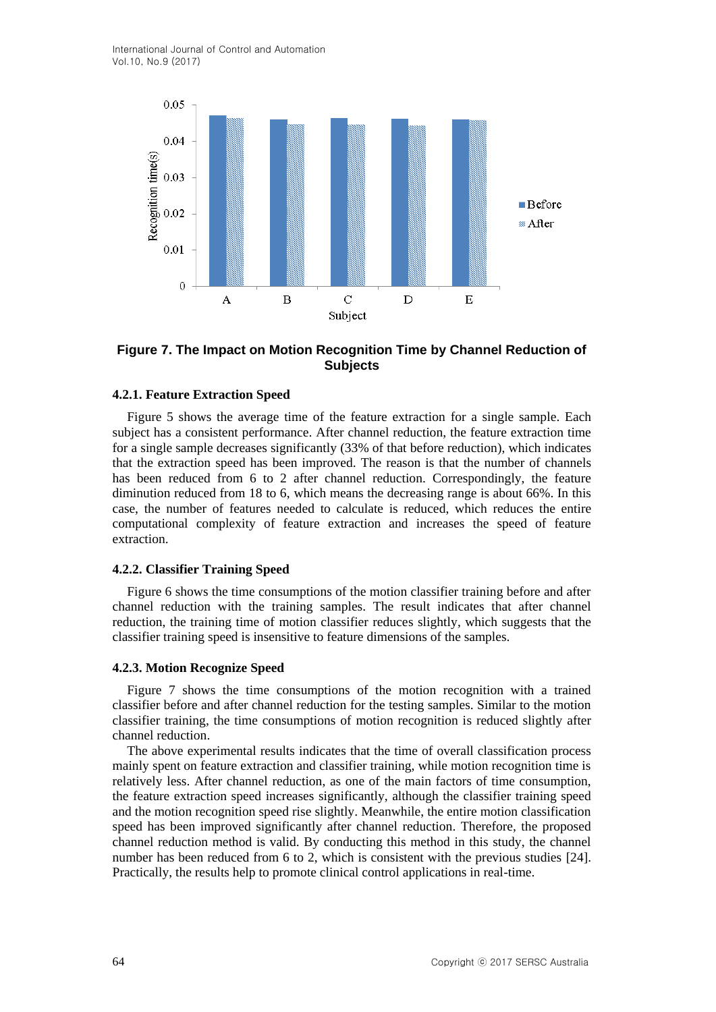International Journal of Control and Automation Vol.10, No.9 (2017)



## **Figure 7. The Impact on Motion Recognition Time by Channel Reduction of Subjects**

### **4.2.1. Feature Extraction Speed**

Figure 5 shows the average time of the feature extraction for a single sample. Each subject has a consistent performance. After channel reduction, the feature extraction time for a single sample decreases significantly (33% of that before reduction), which indicates that the extraction speed has been improved. The reason is that the number of channels has been reduced from 6 to 2 after channel reduction. Correspondingly, the feature diminution reduced from 18 to 6, which means the decreasing range is about 66%. In this case, the number of features needed to calculate is reduced, which reduces the entire computational complexity of feature extraction and increases the speed of feature extraction.

#### **4.2.2. Classifier Training Speed**

Figure 6 shows the time consumptions of the motion classifier training before and after channel reduction with the training samples. The result indicates that after channel reduction, the training time of motion classifier reduces slightly, which suggests that the classifier training speed is insensitive to feature dimensions of the samples.

#### **4.2.3. Motion Recognize Speed**

Figure 7 shows the time consumptions of the motion recognition with a trained classifier before and after channel reduction for the testing samples. Similar to the motion classifier training, the time consumptions of motion recognition is reduced slightly after channel reduction.

The above experimental results indicates that the time of overall classification process mainly spent on feature extraction and classifier training, while motion recognition time is relatively less. After channel reduction, as one of the main factors of time consumption, the feature extraction speed increases significantly, although the classifier training speed and the motion recognition speed rise slightly. Meanwhile, the entire motion classification speed has been improved significantly after channel reduction. Therefore, the proposed channel reduction method is valid. By conducting this method in this study, the channel number has been reduced from 6 to 2, which is consistent with the previous studies [24]. Practically, the results help to promote clinical control applications in real-time.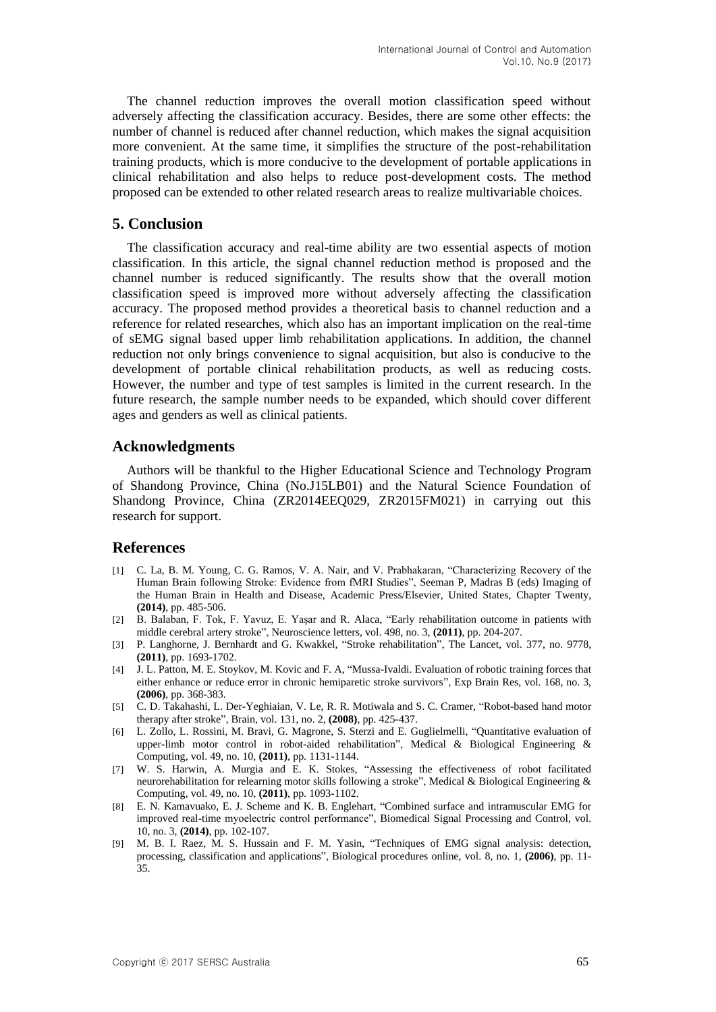The channel reduction improves the overall motion classification speed without adversely affecting the classification accuracy. Besides, there are some other effects: the number of channel is reduced after channel reduction, which makes the signal acquisition more convenient. At the same time, it simplifies the structure of the post-rehabilitation training products, which is more conducive to the development of portable applications in clinical rehabilitation and also helps to reduce post-development costs. The method proposed can be extended to other related research areas to realize multivariable choices.

## **5. Conclusion**

The classification accuracy and real-time ability are two essential aspects of motion classification. In this article, the signal channel reduction method is proposed and the channel number is reduced significantly. The results show that the overall motion classification speed is improved more without adversely affecting the classification accuracy. The proposed method provides a theoretical basis to channel reduction and a reference for related researches, which also has an important implication on the real-time of sEMG signal based upper limb rehabilitation applications. In addition, the channel reduction not only brings convenience to signal acquisition, but also is conducive to the development of portable clinical rehabilitation products, as well as reducing costs. However, the number and type of test samples is limited in the current research. In the future research, the sample number needs to be expanded, which should cover different ages and genders as well as clinical patients.

### **Acknowledgments**

Authors will be thankful to the Higher Educational Science and Technology Program of Shandong Province, China (No.J15LB01) and the Natural Science Foundation of Shandong Province, China (ZR2014EEQ029, ZR2015FM021) in carrying out this research for support.

## **References**

- [1] C. La, B. M. Young, C. G. Ramos, V. A. Nair, and V. Prabhakaran, "Characterizing Recovery of the Human Brain following Stroke: Evidence from fMRI Studies", Seeman P, Madras B (eds) Imaging of the Human Brain in Health and Disease, Academic Press/Elsevier, United States, Chapter Twenty, **(2014)**, pp. 485-506.
- [2] B. Balaban, F. Tok, F. Yavuz, E. Yaşar and R. Alaca, "Early rehabilitation outcome in patients with middle cerebral artery stroke", Neuroscience letters, vol. 498, no. 3, **(2011)**, pp. 204-207.
- [3] P. Langhorne, J. Bernhardt and G. Kwakkel, "Stroke rehabilitation", The Lancet, vol. 377, no. 9778, **(2011)**, pp. 1693-1702.
- [4] J. L. Patton, M. E. Stoykov, M. Kovic and F. A, "Mussa-Ivaldi. Evaluation of robotic training forces that either enhance or reduce error in chronic hemiparetic stroke survivors", Exp Brain Res, vol. 168, no. 3, **(2006)**, pp. 368-383.
- [5] C. D. Takahashi, L. Der-Yeghiaian, V. Le, R. R. Motiwala and S. C. Cramer, "Robot-based hand motor therapy after stroke", Brain, vol. 131, no. 2, **(2008)**, pp. 425-437.
- [6] L. Zollo, L. Rossini, M. Bravi, G. Magrone, S. Sterzi and E. Guglielmelli, "Quantitative evaluation of upper-limb motor control in robot-aided rehabilitation", Medical & Biological Engineering  $\&$ Computing, vol. 49, no. 10, **(2011)**, pp. 1131-1144.
- [7] W. S. Harwin, A. Murgia and E. K. Stokes, "Assessing the effectiveness of robot facilitated neurorehabilitation for relearning motor skills following a stroke", Medical & Biological Engineering & Computing, vol. 49, no. 10, **(2011)**, pp. 1093-1102.
- [8] E. N. Kamavuako, E. J. Scheme and K. B. Englehart, "Combined surface and intramuscular EMG for improved real-time myoelectric control performance", Biomedical Signal Processing and Control, vol. 10, no. 3, **(2014)**, pp. 102-107.
- [9] M. B. I. Raez, M. S. Hussain and F. M. Yasin, "Techniques of EMG signal analysis: detection, processing, classification and applications", Biological procedures online, vol. 8, no. 1, **(2006)**, pp. 11- 35.